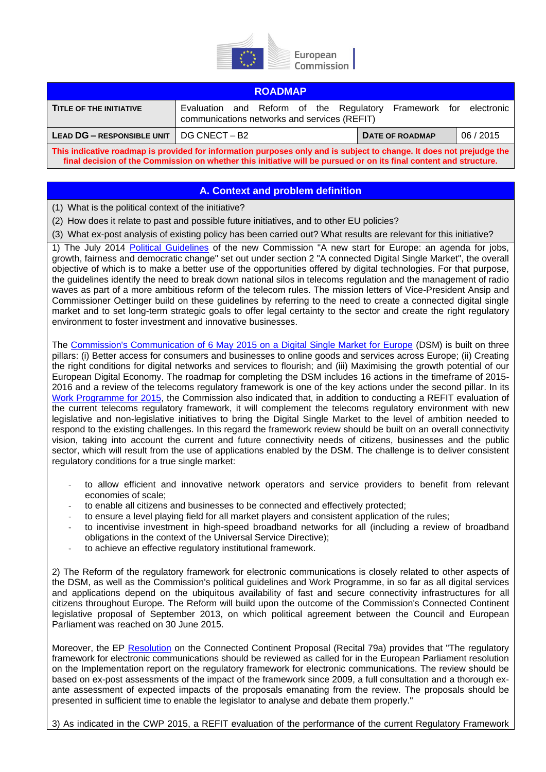

| <b>ROADMAP</b>                                                                                                                                                                                                                             |                                                                                                                  |                        |           |
|--------------------------------------------------------------------------------------------------------------------------------------------------------------------------------------------------------------------------------------------|------------------------------------------------------------------------------------------------------------------|------------------------|-----------|
| TITLE OF THE INITIATIVE                                                                                                                                                                                                                    | Evaluation and Reform of the Regulatory Framework for electronic<br>communications networks and services (REFIT) |                        |           |
| <b>LEAD DG - RESPONSIBLE UNIT</b>                                                                                                                                                                                                          | DG CNECT – B2                                                                                                    | <b>DATE OF ROADMAP</b> | 06 / 2015 |
| This indicative roadmap is provided for information purposes only and is subject to change. It does not prejudge the<br>final decision of the Commission on whether this initiative will be pursued or on its final content and structure. |                                                                                                                  |                        |           |

## **A. Context and problem definition**

(1) What is the political context of the initiative?

(2) How does it relate to past and possible future initiatives, and to other EU policies?

(3) What ex-post analysis of existing policy has been carried out? What results are relevant for this initiative?

1) The July 2014 [Political Guidelines](http://ec.europa.eu/priorities/docs/pg_en.pdf) of the new Commission "A new start for Europe: an agenda for jobs, growth, fairness and democratic change" set out under section 2 "A connected Digital Single Market", the overall objective of which is to make a better use of the opportunities offered by digital technologies. For that purpose, the guidelines identify the need to break down national silos in telecoms regulation and the management of radio waves as part of a more ambitious reform of the telecom rules. The mission letters of Vice-President Ansip and Commissioner Oettinger build on these guidelines by referring to the need to create a connected digital single market and to set long-term strategic goals to offer legal certainty to the sector and create the right regulatory environment to foster investment and innovative businesses.

The Commission's [Communication of 6 May 2015 on a Digital Single Market](http://europa.eu/rapid/press-release_IP-15-4919_en.htm) for Europe (DSM) is built on three pillars: (i) Better access for consumers and businesses to online goods and services across Europe; (ii) Creating the right conditions for digital networks and services to flourish; and (iii) Maximising the growth potential of our European Digital Economy. The roadmap for completing the DSM includes 16 actions in the timeframe of 2015- 2016 and a review of the telecoms regulatory framework is one of the key actions under the second pillar. In its [Work Programme for 2015,](http://ec.europa.eu/priorities/work-programme/index_en.htm) the Commission also indicated that, in addition to conducting a REFIT evaluation of the current telecoms regulatory framework, it will complement the telecoms regulatory environment with new legislative and non-legislative initiatives to bring the Digital Single Market to the level of ambition needed to respond to the existing challenges. In this regard the framework review should be built on an overall connectivity vision, taking into account the current and future connectivity needs of citizens, businesses and the public sector, which will result from the use of applications enabled by the DSM. The challenge is to deliver consistent regulatory conditions for a true single market:

- to allow efficient and innovative network operators and service providers to benefit from relevant economies of scale;
- to enable all citizens and businesses to be connected and effectively protected;
- to ensure a level playing field for all market players and consistent application of the rules;
- to incentivise investment in high-speed broadband networks for all (including a review of broadband obligations in the context of the Universal Service Directive);
- to achieve an effective regulatory institutional framework.

2) The Reform of the regulatory framework for electronic communications is closely related to other aspects of the DSM, as well as the Commission's political guidelines and Work Programme, in so far as all digital services and applications depend on the ubiquitous availability of fast and secure connectivity infrastructures for all citizens throughout Europe. The Reform will build upon the outcome of the Commission's Connected Continent legislative proposal of September 2013, on which political agreement between the Council and European Parliament was reached on 30 June 2015.

Moreover, the EP [Resolution](http://www.europarl.europa.eu/sides/getDoc.do?pubRef=-//EP//TEXT+TA+P7-TA-2014-0281+0+DOC+XML+V0//EN) on the Connected Continent Proposal (Recital 79a) provides that "The regulatory framework for electronic communications should be reviewed as called for in the European Parliament resolution on the Implementation report on the regulatory framework for electronic communications. The review should be based on ex-post assessments of the impact of the framework since 2009, a full consultation and a thorough exante assessment of expected impacts of the proposals emanating from the review. The proposals should be presented in sufficient time to enable the legislator to analyse and debate them properly."

3) As indicated in the CWP 2015, a REFIT evaluation of the performance of the current Regulatory Framework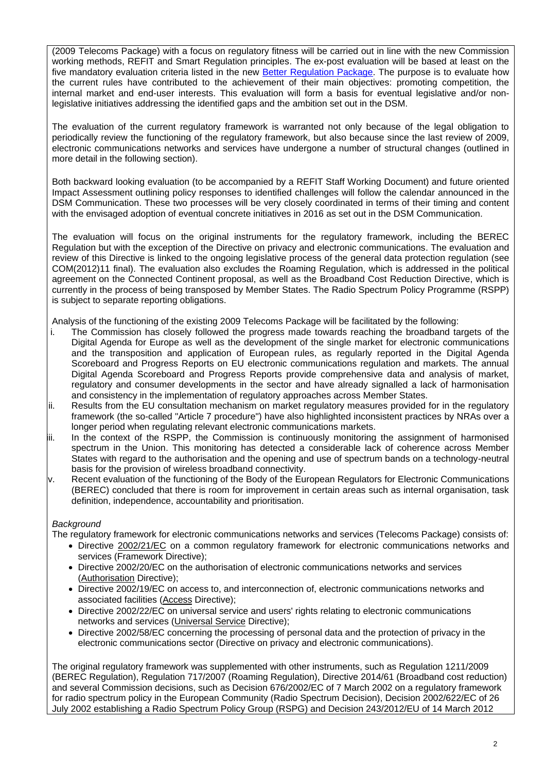(2009 Telecoms Package) with a focus on regulatory fitness will be carried out in line with the new Commission working methods, REFIT and Smart Regulation principles. The ex-post evaluation will be based at least on the five mandatory evaluation criteria listed in the new [Better Regulation Package.](http://ec.europa.eu/smart-regulation/index_en.htm) The purpose is to evaluate how the current rules have contributed to the achievement of their main objectives: promoting competition, the internal market and end-user interests. This evaluation will form a basis for eventual legislative and/or nonlegislative initiatives addressing the identified gaps and the ambition set out in the DSM.

The evaluation of the current regulatory framework is warranted not only because of the legal obligation to periodically review the functioning of the regulatory framework, but also because since the last review of 2009, electronic communications networks and services have undergone a number of structural changes (outlined in more detail in the following section).

Both backward looking evaluation (to be accompanied by a REFIT Staff Working Document) and future oriented Impact Assessment outlining policy responses to identified challenges will follow the calendar announced in the DSM Communication. These two processes will be very closely coordinated in terms of their timing and content with the envisaged adoption of eventual concrete initiatives in 2016 as set out in the DSM Communication.

The evaluation will focus on the original instruments for the regulatory framework, including the BEREC Regulation but with the exception of the Directive on privacy and electronic communications. The evaluation and review of this Directive is linked to the ongoing legislative process of the general data protection regulation (see COM(2012)11 final). The evaluation also excludes the Roaming Regulation, which is addressed in the political agreement on the Connected Continent proposal, as well as the Broadband Cost Reduction Directive, which is currently in the process of being transposed by Member States. The Radio Spectrum Policy Programme (RSPP) is subject to separate reporting obligations.

Analysis of the functioning of the existing 2009 Telecoms Package will be facilitated by the following:

- i. The Commission has closely followed the progress made towards reaching the broadband targets of the Digital Agenda for Europe as well as the development of the single market for electronic communications and the transposition and application of European rules, as regularly reported in the Digital Agenda Scoreboard and Progress Reports on EU electronic communications regulation and markets. The annual Digital Agenda Scoreboard and Progress Reports provide comprehensive data and analysis of market, regulatory and consumer developments in the sector and have already signalled a lack of harmonisation and consistency in the implementation of regulatory approaches across Member States.
- ii. Results from the EU consultation mechanism on market regulatory measures provided for in the regulatory framework (the so-called "Article 7 procedure") have also highlighted inconsistent practices by NRAs over a longer period when regulating relevant electronic communications markets.
- ii. In the context of the RSPP, the Commission is continuously monitoring the assignment of harmonised spectrum in the Union. This monitoring has detected a considerable lack of coherence across Member States with regard to the authorisation and the opening and use of spectrum bands on a technology-neutral basis for the provision of wireless broadband connectivity.
- iv. Recent evaluation of the functioning of the Body of the European Regulators for Electronic Communications (BEREC) concluded that there is room for improvement in certain areas such as internal organisation, task definition, independence, accountability and prioritisation.

#### *Background*

The regulatory framework for electronic communications networks and services (Telecoms Package) consists of:

- Directive [2002/21/EC](http://eur-lex.europa.eu/LexUriServ/LexUriServ.do?uri=CELEX:32002L0021:EN:NOT) on a common regulatory framework for electronic communications networks and services (Framework Directive);
- Directive 2002/20/EC on the authorisation of electronic communications networks and services [\(Authorisation](http://europa.eu/legislation_summaries/information_society/legislative_framework/l24164_en.htm) Directive);
- Directive 2002/19/EC on access to, and interconnection of, electronic communications networks and associated facilities [\(Access](http://europa.eu/legislation_summaries/information_society/legislative_framework/l24108i_en.htm) Directive);
- Directive 2002/22/EC on universal service and users' rights relating to electronic communications networks and services [\(Universal Service](http://europa.eu/legislation_summaries/information_society/legislative_framework/l24108h_en.htm) Directive);
- Directive 2002/58/EC concerning the processing of personal data and the protection of privacy in the electronic communications sector (Directive on privacy and electronic communications).

The original regulatory framework was supplemented with other instruments, such as Regulation 1211/2009 (BEREC Regulation), Regulation 717/2007 (Roaming Regulation), Directive 2014/61 (Broadband cost reduction) and several Commission decisions, such as Decision 676/2002/EC of 7 March 2002 on a regulatory framework for radio spectrum policy in the European Community (Radio Spectrum Decision), Decision 2002/622/EC of 26 July 2002 establishing a Radio Spectrum Policy Group (RSPG) and Decision 243/2012/EU of 14 March 2012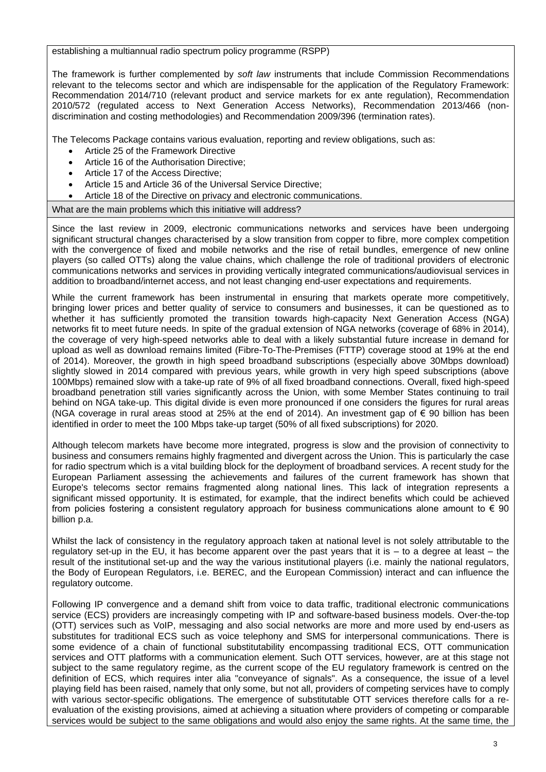establishing a multiannual radio spectrum policy programme (RSPP)

The framework is further complemented by *soft law* instruments that include Commission Recommendations relevant to the telecoms sector and which are indispensable for the application of the Regulatory Framework: Recommendation 2014/710 (relevant product and service markets for ex ante regulation), Recommendation 2010/572 (regulated access to Next Generation Access Networks), Recommendation 2013/466 (nondiscrimination and costing methodologies) and Recommendation 2009/396 (termination rates).

The Telecoms Package contains various evaluation, reporting and review obligations, such as:

- Article 25 of the Framework Directive
- Article 16 of the Authorisation Directive;
- Article 17 of the Access Directive;
- Article 15 and Article 36 of the Universal Service Directive;
- Article 18 of the Directive on privacy and electronic communications.

What are the main problems which this initiative will address?

Since the last review in 2009, electronic communications networks and services have been undergoing significant structural changes characterised by a slow transition from copper to fibre, more complex competition with the convergence of fixed and mobile networks and the rise of retail bundles, emergence of new online players (so called OTTs) along the value chains, which challenge the role of traditional providers of electronic communications networks and services in providing vertically integrated communications/audiovisual services in addition to broadband/internet access, and not least changing end-user expectations and requirements.

While the current framework has been instrumental in ensuring that markets operate more competitively, bringing lower prices and better quality of service to consumers and businesses, it can be questioned as to whether it has sufficiently promoted the transition towards high-capacity Next Generation Access (NGA) networks fit to meet future needs. In spite of the gradual extension of NGA networks (coverage of 68% in 2014), the coverage of very high-speed networks able to deal with a likely substantial future increase in demand for upload as well as download remains limited (Fibre-To-The-Premises (FTTP) coverage stood at 19% at the end of 2014). Moreover, the growth in high speed broadband subscriptions (especially above 30Mbps download) slightly slowed in 2014 compared with previous years, while growth in very high speed subscriptions (above 100Mbps) remained slow with a take-up rate of 9% of all fixed broadband connections. Overall, fixed high-speed broadband penetration still varies significantly across the Union, with some Member States continuing to trail behind on NGA take-up. This digital divide is even more pronounced if one considers the figures for rural areas (NGA coverage in rural areas stood at 25% at the end of 2014). An investment gap of  $\epsilon$  90 billion has been identified in order to meet the 100 Mbps take-up target (50% of all fixed subscriptions) for 2020.

Although telecom markets have become more integrated, progress is slow and the provision of connectivity to business and consumers remains highly fragmented and divergent across the Union. This is particularly the case for radio spectrum which is a vital building block for the deployment of broadband services. A recent study for the European Parliament assessing the achievements and failures of the current framework has shown that Europe's telecoms sector remains fragmented along national lines. This lack of integration represents a significant missed opportunity. It is estimated, for example, that the indirect benefits which could be achieved from policies fostering a consistent regulatory approach for business communications alone amount to  $\epsilon$  90 billion p.a.

Whilst the lack of consistency in the regulatory approach taken at national level is not solely attributable to the regulatory set-up in the EU, it has become apparent over the past years that it is – to a degree at least – the result of the institutional set-up and the way the various institutional players (i.e. mainly the national regulators, the Body of European Regulators, i.e. BEREC, and the European Commission) interact and can influence the regulatory outcome.

Following IP convergence and a demand shift from voice to data traffic, traditional electronic communications service (ECS) providers are increasingly competing with IP and software-based business models. Over-the-top (OTT) services such as VoIP, messaging and also social networks are more and more used by end-users as substitutes for traditional ECS such as voice telephony and SMS for interpersonal communications. There is some evidence of a chain of functional substitutability encompassing traditional ECS, OTT communication services and OTT platforms with a communication element. Such OTT services, however, are at this stage not subject to the same regulatory regime, as the current scope of the EU regulatory framework is centred on the definition of ECS, which requires inter alia "conveyance of signals". As a consequence, the issue of a level playing field has been raised, namely that only some, but not all, providers of competing services have to comply with various sector-specific obligations. The emergence of substitutable OTT services therefore calls for a reevaluation of the existing provisions, aimed at achieving a situation where providers of competing or comparable services would be subject to the same obligations and would also enjoy the same rights. At the same time, the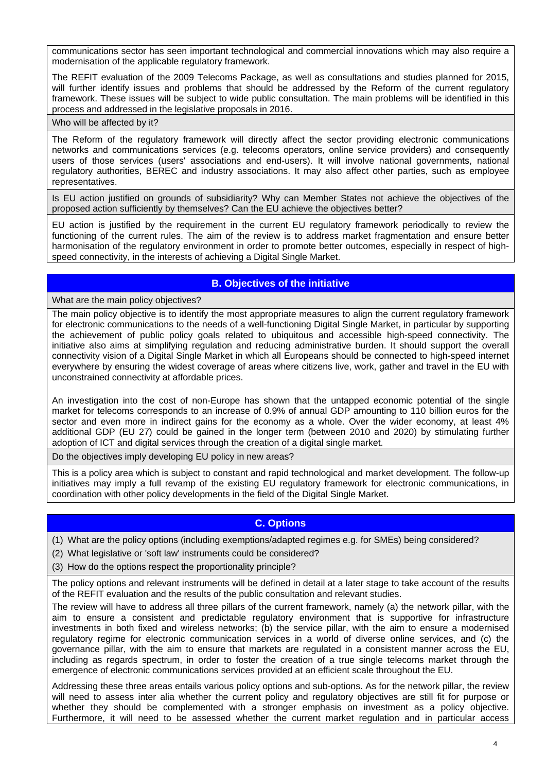communications sector has seen important technological and commercial innovations which may also require a modernisation of the applicable regulatory framework.

The REFIT evaluation of the 2009 Telecoms Package, as well as consultations and studies planned for 2015, will further identify issues and problems that should be addressed by the Reform of the current regulatory framework. These issues will be subject to wide public consultation. The main problems will be identified in this process and addressed in the legislative proposals in 2016.

Who will be affected by it?

The Reform of the regulatory framework will directly affect the sector providing electronic communications networks and communications services (e.g. telecoms operators, online service providers) and consequently users of those services (users' associations and end-users). It will involve national governments, national regulatory authorities, BEREC and industry associations. It may also affect other parties, such as employee representatives.

Is EU action justified on grounds of subsidiarity? Why can Member States not achieve the objectives of the proposed action sufficiently by themselves? Can the EU achieve the objectives better?

EU action is justified by the requirement in the current EU regulatory framework periodically to review the functioning of the current rules. The aim of the review is to address market fragmentation and ensure better harmonisation of the regulatory environment in order to promote better outcomes, especially in respect of highspeed connectivity, in the interests of achieving a Digital Single Market.

# **B. Objectives of the initiative**

What are the main policy objectives?

The main policy objective is to identify the most appropriate measures to align the current regulatory framework for electronic communications to the needs of a well-functioning Digital Single Market, in particular by supporting the achievement of public policy goals related to ubiquitous and accessible high-speed connectivity. The initiative also aims at simplifying regulation and reducing administrative burden. It should support the overall connectivity vision of a Digital Single Market in which all Europeans should be connected to high-speed internet everywhere by ensuring the widest coverage of areas where citizens live, work, gather and travel in the EU with unconstrained connectivity at affordable prices.

An investigation into the cost of non-Europe has shown that the untapped economic potential of the single market for telecoms corresponds to an increase of 0.9% of annual GDP amounting to 110 billion euros for the sector and even more in indirect gains for the economy as a whole. Over the wider economy, at least 4% additional GDP (EU 27) could be gained in the longer term (between 2010 and 2020) by stimulating further adoption of ICT and digital services through the creation of a digital single market.

Do the objectives imply developing EU policy in new areas?

This is a policy area which is subject to constant and rapid technological and market development. The follow-up initiatives may imply a full revamp of the existing EU regulatory framework for electronic communications, in coordination with other policy developments in the field of the Digital Single Market.

# **C. Options**

(1) What are the policy options (including exemptions/adapted regimes e.g. for SMEs) being considered?

(2) What legislative or 'soft law' instruments could be considered?

(3) How do the options respect the proportionality principle?

The policy options and relevant instruments will be defined in detail at a later stage to take account of the results of the REFIT evaluation and the results of the public consultation and relevant studies.

The review will have to address all three pillars of the current framework, namely (a) the network pillar, with the aim to ensure a consistent and predictable regulatory environment that is supportive for infrastructure investments in both fixed and wireless networks; (b) the service pillar, with the aim to ensure a modernised regulatory regime for electronic communication services in a world of diverse online services, and (c) the governance pillar, with the aim to ensure that markets are regulated in a consistent manner across the EU, including as regards spectrum, in order to foster the creation of a true single telecoms market through the emergence of electronic communications services provided at an efficient scale throughout the EU.

Addressing these three areas entails various policy options and sub-options. As for the network pillar, the review will need to assess inter alia whether the current policy and regulatory objectives are still fit for purpose or whether they should be complemented with a stronger emphasis on investment as a policy objective. Furthermore, it will need to be assessed whether the current market regulation and in particular access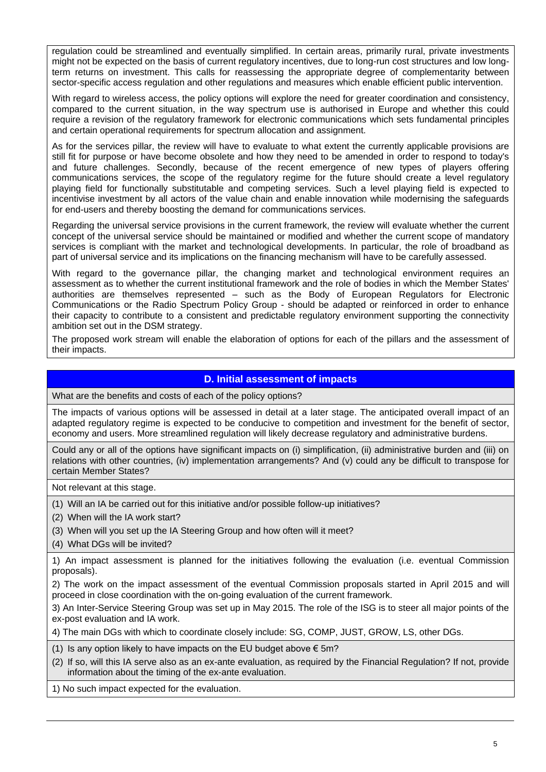regulation could be streamlined and eventually simplified. In certain areas, primarily rural, private investments might not be expected on the basis of current regulatory incentives, due to long-run cost structures and low longterm returns on investment. This calls for reassessing the appropriate degree of complementarity between sector-specific access regulation and other regulations and measures which enable efficient public intervention.

With regard to wireless access, the policy options will explore the need for greater coordination and consistency, compared to the current situation, in the way spectrum use is authorised in Europe and whether this could require a revision of the regulatory framework for electronic communications which sets fundamental principles and certain operational requirements for spectrum allocation and assignment.

As for the services pillar, the review will have to evaluate to what extent the currently applicable provisions are still fit for purpose or have become obsolete and how they need to be amended in order to respond to today's and future challenges. Secondly, because of the recent emergence of new types of players offering communications services, the scope of the regulatory regime for the future should create a level regulatory playing field for functionally substitutable and competing services. Such a level playing field is expected to incentivise investment by all actors of the value chain and enable innovation while modernising the safeguards for end-users and thereby boosting the demand for communications services.

Regarding the universal service provisions in the current framework, the review will evaluate whether the current concept of the universal service should be maintained or modified and whether the current scope of mandatory services is compliant with the market and technological developments. In particular, the role of broadband as part of universal service and its implications on the financing mechanism will have to be carefully assessed.

With regard to the governance pillar, the changing market and technological environment requires an assessment as to whether the current institutional framework and the role of bodies in which the Member States' authorities are themselves represented – such as the Body of European Regulators for Electronic Communications or the Radio Spectrum Policy Group - should be adapted or reinforced in order to enhance their capacity to contribute to a consistent and predictable regulatory environment supporting the connectivity ambition set out in the DSM strategy.

The proposed work stream will enable the elaboration of options for each of the pillars and the assessment of their impacts.

#### **D. Initial assessment of impacts**

What are the benefits and costs of each of the policy options?

The impacts of various options will be assessed in detail at a later stage. The anticipated overall impact of an adapted regulatory regime is expected to be conducive to competition and investment for the benefit of sector, economy and users. More streamlined regulation will likely decrease regulatory and administrative burdens.

Could any or all of the options have significant impacts on (i) simplification, (ii) administrative burden and (iii) on relations with other countries, (iv) implementation arrangements? And (v) could any be difficult to transpose for certain Member States?

Not relevant at this stage.

(1) Will an IA be carried out for this initiative and/or possible follow-up initiatives?

(2) When will the IA work start?

(3) When will you set up the IA Steering Group and how often will it meet?

(4) What DGs will be invited?

1) An impact assessment is planned for the initiatives following the evaluation (i.e. eventual Commission proposals).

2) The work on the impact assessment of the eventual Commission proposals started in April 2015 and will proceed in close coordination with the on-going evaluation of the current framework.

3) An Inter-Service Steering Group was set up in May 2015. The role of the ISG is to steer all major points of the ex-post evaluation and IA work.

4) The main DGs with which to coordinate closely include: SG, COMP, JUST, GROW, LS, other DGs.

(1) Is any option likely to have impacts on the EU budget above  $\epsilon$  5m?

(2) If so, will this IA serve also as an ex-ante evaluation, as required by the Financial Regulation? If not, provide information about the timing of the ex-ante evaluation.

1) No such impact expected for the evaluation.